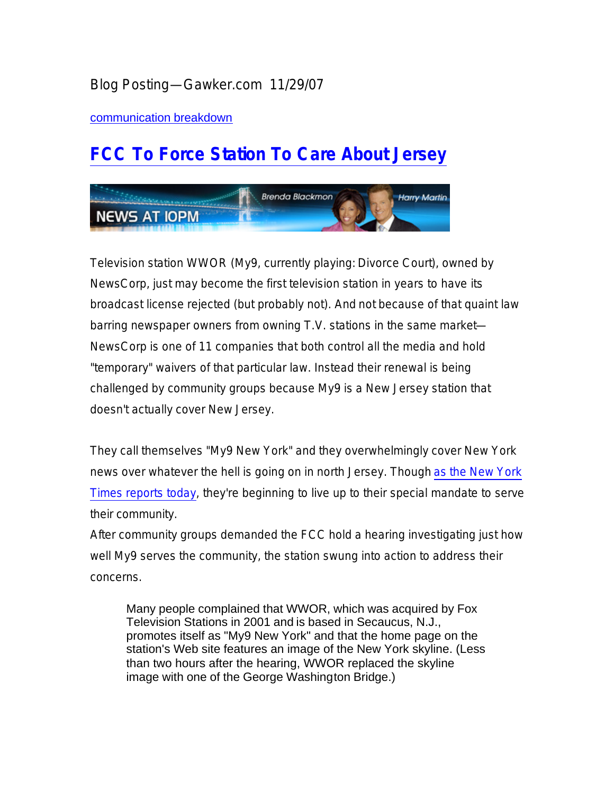## Blog Posting—Gawker.com 11/29/07

communication breakdown

## **FCC To Force Station To Care About Jersey**



Television station WWOR (My9, currently playing: *Divorce Court*), owned by NewsCorp, just may become the first television station in years to have its broadcast license rejected (but probably not). And *not* because of that quaint law barring newspaper owners from owning T.V. stations in the same market— NewsCorp is one of 11 companies that both control all the media and hold "temporary" waivers of that particular law. Instead their renewal is being challenged by community groups because My9 is a New Jersey station that doesn't actually cover New Jersey.

They call themselves "My9 New York" and they overwhelmingly cover New York news over whatever the hell is going on in north Jersey. Though as the New York *Times* reports today, they're beginning to live up to their special mandate to serve their community.

After community groups demanded the FCC hold a hearing investigating just how well My9 serves the community, the station swung into action to address their concerns.

Many people complained that WWOR, which was acquired by Fox Television Stations in 2001 and is based in Secaucus, N.J., promotes itself as "My9 New York" and that the home page on the station's Web site features an image of the New York skyline. (Less than two hours after the hearing, WWOR replaced the skyline image with one of the George Washington Bridge.)